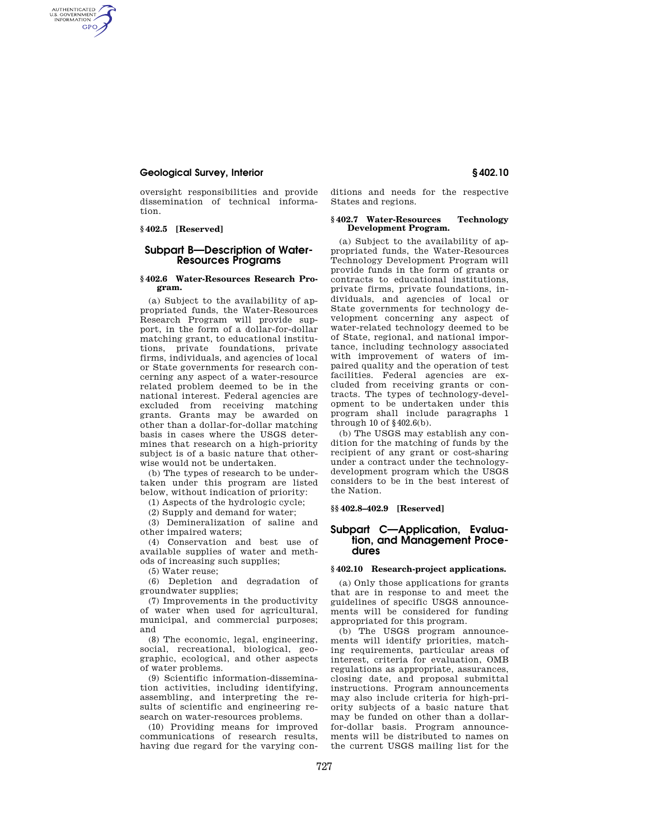# **Geological Survey, Interior § 402.10**

oversight responsibilities and provide dissemination of technical information.

## **§ 402.5 [Reserved]**

AUTHENTICATED<br>U.S. GOVERNMENT<br>INFORMATION **GPO** 

# **Subpart B—Description of Water-Resources Programs**

### **§ 402.6 Water-Resources Research Program.**

(a) Subject to the availability of appropriated funds, the Water-Resources Research Program will provide support, in the form of a dollar-for-dollar matching grant, to educational institutions, private foundations, private firms, individuals, and agencies of local or State governments for research concerning any aspect of a water-resource related problem deemed to be in the national interest. Federal agencies are excluded from receiving matching grants. Grants may be awarded on other than a dollar-for-dollar matching basis in cases where the USGS determines that research on a high-priority subject is of a basic nature that otherwise would not be undertaken.

(b) The types of research to be undertaken under this program are listed below, without indication of priority:

(1) Aspects of the hydrologic cycle;

(2) Supply and demand for water;

(3) Demineralization of saline and other impaired waters;

(4) Conservation and best use of available supplies of water and methods of increasing such supplies;

(5) Water reuse;

(6) Depletion and degradation of groundwater supplies;

(7) Improvements in the productivity of water when used for agricultural, municipal, and commercial purposes; and

(8) The economic, legal, engineering, social, recreational, biological, geographic, ecological, and other aspects of water problems.

(9) Scientific information-dissemination activities, including identifying, assembling, and interpreting the results of scientific and engineering research on water-resources problems.

(10) Providing means for improved communications of research results, having due regard for the varying conditions and needs for the respective States and regions.

### **§ 402.7 Water-Resources Technology Development Program.**

(a) Subject to the availability of appropriated funds, the Water-Resources Technology Development Program will provide funds in the form of grants or contracts to educational institutions, private firms, private foundations, individuals, and agencies of local or State governments for technology development concerning any aspect of water-related technology deemed to be of State, regional, and national importance, including technology associated with improvement of waters of impaired quality and the operation of test facilities. Federal agencies are excluded from receiving grants or contracts. The types of technology-development to be undertaken under this program shall include paragraphs 1 through 10 of  $§402.6(b)$ .

(b) The USGS may establish any condition for the matching of funds by the recipient of any grant or cost-sharing under a contract under the technologydevelopment program which the USGS considers to be in the best interest of the Nation.

## **§§ 402.8–402.9 [Reserved]**

# **Subpart C—Application, Evaluation, and Management Procedures**

### **§ 402.10 Research-project applications.**

(a) Only those applications for grants that are in response to and meet the guidelines of specific USGS announcements will be considered for funding appropriated for this program.

(b) The USGS program announcements will identify priorities, matching requirements, particular areas of interest, criteria for evaluation, OMB regulations as appropriate, assurances, closing date, and proposal submittal instructions. Program announcements may also include criteria for high-priority subjects of a basic nature that may be funded on other than a dollarfor-dollar basis. Program announcements will be distributed to names on the current USGS mailing list for the